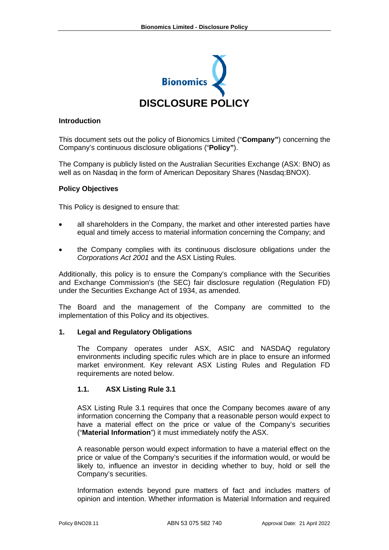

#### **Introduction**

This document sets out the policy of Bionomics Limited ("**Company"**) concerning the Company's continuous disclosure obligations ("**Policy"**).

The Company is publicly listed on the Australian Securities Exchange (ASX: BNO) as well as on Nasdaq in the form of American Depositary Shares (Nasdaq:BNOX).

#### **Policy Objectives**

This Policy is designed to ensure that:

- all shareholders in the Company, the market and other interested parties have equal and timely access to material information concerning the Company; and
- the Company complies with its continuous disclosure obligations under the *Corporations Act 2001* and the ASX Listing Rules.

Additionally, this policy is to ensure the Company's compliance with the Securities and Exchange Commission's (the SEC) fair disclosure regulation (Regulation FD) under the Securities Exchange Act of 1934, as amended.

The Board and the management of the Company are committed to the implementation of this Policy and its objectives.

#### **1. Legal and Regulatory Obligations**

The Company operates under ASX, ASIC and NASDAQ regulatory environments including specific rules which are in place to ensure an informed market environment. Key relevant ASX Listing Rules and Regulation FD requirements are noted below.

#### **1.1. ASX Listing Rule 3.1**

ASX Listing Rule 3.1 requires that once the Company becomes aware of any information concerning the Company that a reasonable person would expect to have a material effect on the price or value of the Company's securities ("**Material Information**") it must immediately notify the ASX.

A reasonable person would expect information to have a material effect on the price or value of the Company's securities if the information would, or would be likely to, influence an investor in deciding whether to buy, hold or sell the Company's securities.

Information extends beyond pure matters of fact and includes matters of opinion and intention. Whether information is Material Information and required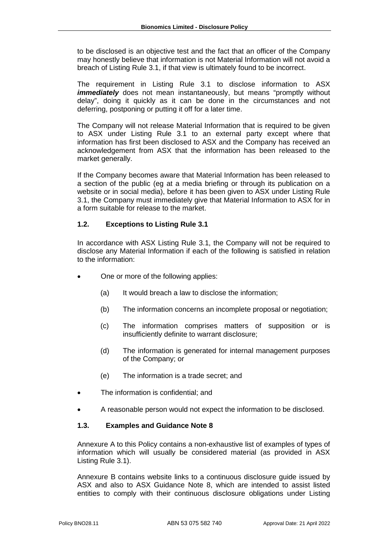to be disclosed is an objective test and the fact that an officer of the Company may honestly believe that information is not Material Information will not avoid a breach of Listing Rule 3.1, if that view is ultimately found to be incorrect.

The requirement in Listing Rule 3.1 to disclose information to ASX *immediately* does not mean instantaneously, but means "promptly without delay", doing it quickly as it can be done in the circumstances and not deferring, postponing or putting it off for a later time.

The Company will not release Material Information that is required to be given to ASX under Listing Rule 3.1 to an external party except where that information has first been disclosed to ASX and the Company has received an acknowledgement from ASX that the information has been released to the market generally.

If the Company becomes aware that Material Information has been released to a section of the public (eg at a media briefing or through its publication on a website or in social media), before it has been given to ASX under Listing Rule 3.1, the Company must immediately give that Material Information to ASX for in a form suitable for release to the market.

# **1.2. Exceptions to Listing Rule 3.1**

In accordance with ASX Listing Rule 3.1, the Company will not be required to disclose any Material Information if each of the following is satisfied in relation to the information:

- One or more of the following applies:
	- (a) It would breach a law to disclose the information;
	- (b) The information concerns an incomplete proposal or negotiation;
	- (c) The information comprises matters of supposition or is insufficiently definite to warrant disclosure;
	- (d) The information is generated for internal management purposes of the Company; or
	- (e) The information is a trade secret; and
- The information is confidential; and
- A reasonable person would not expect the information to be disclosed.

# **1.3. Examples and Guidance Note 8**

Annexure A to this Policy contains a non-exhaustive list of examples of types of information which will usually be considered material (as provided in ASX Listing Rule 3.1).

Annexure B contains website links to a continuous disclosure guide issued by ASX and also to ASX Guidance Note 8, which are intended to assist listed entities to comply with their continuous disclosure obligations under Listing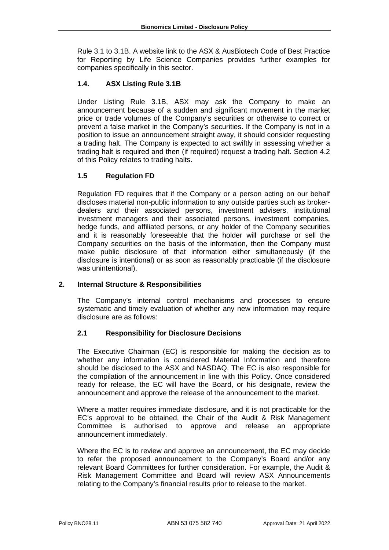Rule 3.1 to 3.1B. A website link to the ASX & AusBiotech Code of Best Practice for Reporting by Life Science Companies provides further examples for companies specifically in this sector.

# **1.4. ASX Listing Rule 3.1B**

Under Listing Rule 3.1B, ASX may ask the Company to make an announcement because of a sudden and significant movement in the market price or trade volumes of the Company's securities or otherwise to correct or prevent a false market in the Company's securities. If the Company is not in a position to issue an announcement straight away, it should consider requesting a trading halt. The Company is expected to act swiftly in assessing whether a trading halt is required and then (if required) request a trading halt. Section 4.2 of this Policy relates to trading halts.

# **1.5 Regulation FD**

Regulation FD requires that if the Company or a person acting on our behalf discloses material non-public information to any outside parties such as brokerdealers and their associated persons, investment advisers, institutional investment managers and their associated persons, investment companies, hedge funds, and affiliated persons, or any holder of the Company securities and it is reasonably foreseeable that the holder will purchase or sell the Company securities on the basis of the information, then the Company must make public disclosure of that information either simultaneously (if the disclosure is intentional) or as soon as reasonably practicable (if the disclosure was unintentional).

# **2. Internal Structure & Responsibilities**

The Company's internal control mechanisms and processes to ensure systematic and timely evaluation of whether any new information may require disclosure are as follows:

# **2.1 Responsibility for Disclosure Decisions**

The Executive Chairman (EC) is responsible for making the decision as to whether any information is considered Material Information and therefore should be disclosed to the ASX and NASDAQ. The EC is also responsible for the compilation of the announcement in line with this Policy. Once considered ready for release, the EC will have the Board, or his designate, review the announcement and approve the release of the announcement to the market.

Where a matter requires immediate disclosure, and it is not practicable for the EC's approval to be obtained, the Chair of the Audit & Risk Management Committee is authorised to approve and release an appropriate announcement immediately.

Where the EC is to review and approve an announcement, the EC may decide to refer the proposed announcement to the Company's Board and/or any relevant Board Committees for further consideration. For example, the Audit & Risk Management Committee and Board will review ASX Announcements relating to the Company's financial results prior to release to the market.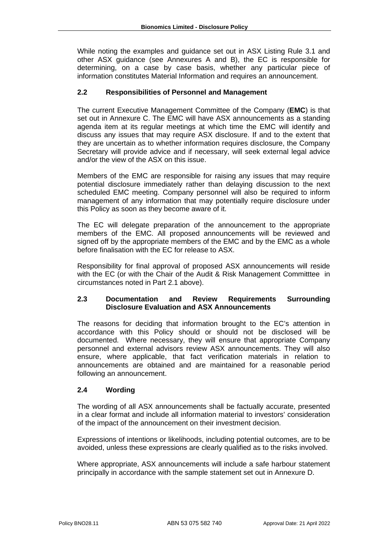While noting the examples and guidance set out in ASX Listing Rule 3.1 and other ASX guidance (see Annexures A and B), the EC is responsible for determining, on a case by case basis, whether any particular piece of information constitutes Material Information and requires an announcement.

# **2.2 Responsibilities of Personnel and Management**

The current Executive Management Committee of the Company (**EMC**) is that set out in Annexure C. The EMC will have ASX announcements as a standing agenda item at its regular meetings at which time the EMC will identify and discuss any issues that may require ASX disclosure. If and to the extent that they are uncertain as to whether information requires disclosure, the Company Secretary will provide advice and if necessary, will seek external legal advice and/or the view of the ASX on this issue.

Members of the EMC are responsible for raising any issues that may require potential disclosure immediately rather than delaying discussion to the next scheduled EMC meeting. Company personnel will also be required to inform management of any information that may potentially require disclosure under this Policy as soon as they become aware of it.

The EC will delegate preparation of the announcement to the appropriate members of the EMC. All proposed announcements will be reviewed and signed off by the appropriate members of the EMC and by the EMC as a whole before finalisation with the EC for release to ASX.

Responsibility for final approval of proposed ASX announcements will reside with the EC (or with the Chair of the Audit & Risk Management Committtee in circumstances noted in Part 2.1 above).

### **2.3 Documentation and Review Requirements Surrounding Disclosure Evaluation and ASX Announcements**

The reasons for deciding that information brought to the EC's attention in accordance with this Policy should or should not be disclosed will be documented. Where necessary, they will ensure that appropriate Company personnel and external advisors review ASX announcements. They will also ensure, where applicable, that fact verification materials in relation to announcements are obtained and are maintained for a reasonable period following an announcement.

### **2.4 Wording**

The wording of all ASX announcements shall be factually accurate, presented in a clear format and include all information material to investors' consideration of the impact of the announcement on their investment decision.

Expressions of intentions or likelihoods, including potential outcomes, are to be avoided, unless these expressions are clearly qualified as to the risks involved.

Where appropriate, ASX announcements will include a safe harbour statement principally in accordance with the sample statement set out in Annexure D.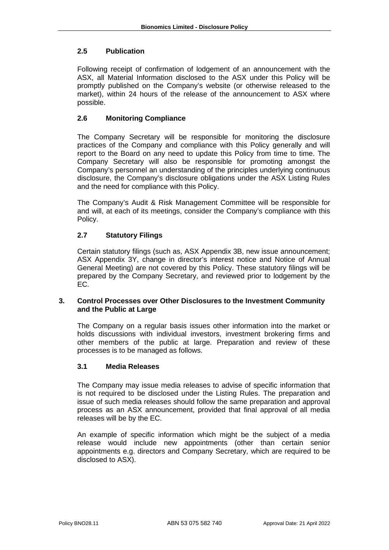# **2.5 Publication**

Following receipt of confirmation of lodgement of an announcement with the ASX, all Material Information disclosed to the ASX under this Policy will be promptly published on the Company's website (or otherwise released to the market), within 24 hours of the release of the announcement to ASX where possible.

# **2.6 Monitoring Compliance**

The Company Secretary will be responsible for monitoring the disclosure practices of the Company and compliance with this Policy generally and will report to the Board on any need to update this Policy from time to time. The Company Secretary will also be responsible for promoting amongst the Company's personnel an understanding of the principles underlying continuous disclosure, the Company's disclosure obligations under the ASX Listing Rules and the need for compliance with this Policy.

The Company's Audit & Risk Management Committee will be responsible for and will, at each of its meetings, consider the Company's compliance with this Policy.

# **2.7 Statutory Filings**

Certain statutory filings (such as, ASX Appendix 3B, new issue announcement; ASX Appendix 3Y, change in director's interest notice and Notice of Annual General Meeting) are not covered by this Policy. These statutory filings will be prepared by the Company Secretary, and reviewed prior to lodgement by the EC.

### **3. Control Processes over Other Disclosures to the Investment Community and the Public at Large**

The Company on a regular basis issues other information into the market or holds discussions with individual investors, investment brokering firms and other members of the public at large. Preparation and review of these processes is to be managed as follows.

# **3.1 Media Releases**

The Company may issue media releases to advise of specific information that is not required to be disclosed under the Listing Rules. The preparation and issue of such media releases should follow the same preparation and approval process as an ASX announcement, provided that final approval of all media releases will be by the EC.

An example of specific information which might be the subject of a media release would include new appointments (other than certain senior appointments e.g. directors and Company Secretary, which are required to be disclosed to ASX).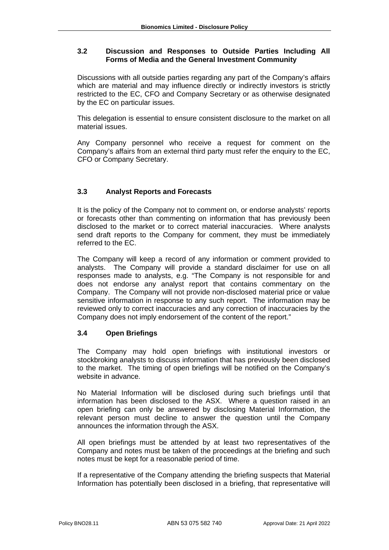# **3.2 Discussion and Responses to Outside Parties Including All Forms of Media and the General Investment Community**

Discussions with all outside parties regarding any part of the Company's affairs which are material and may influence directly or indirectly investors is strictly restricted to the EC, CFO and Company Secretary or as otherwise designated by the EC on particular issues.

This delegation is essential to ensure consistent disclosure to the market on all material issues.

Any Company personnel who receive a request for comment on the Company's affairs from an external third party must refer the enquiry to the EC, CFO or Company Secretary.

# **3.3 Analyst Reports and Forecasts**

It is the policy of the Company not to comment on, or endorse analysts' reports or forecasts other than commenting on information that has previously been disclosed to the market or to correct material inaccuracies. Where analysts send draft reports to the Company for comment, they must be immediately referred to the EC.

The Company will keep a record of any information or comment provided to analysts. The Company will provide a standard disclaimer for use on all responses made to analysts, e.g. "The Company is not responsible for and does not endorse any analyst report that contains commentary on the Company. The Company will not provide non-disclosed material price or value sensitive information in response to any such report. The information may be reviewed only to correct inaccuracies and any correction of inaccuracies by the Company does not imply endorsement of the content of the report."

# **3.4 Open Briefings**

The Company may hold open briefings with institutional investors or stockbroking analysts to discuss information that has previously been disclosed to the market. The timing of open briefings will be notified on the Company's website in advance.

No Material Information will be disclosed during such briefings until that information has been disclosed to the ASX. Where a question raised in an open briefing can only be answered by disclosing Material Information, the relevant person must decline to answer the question until the Company announces the information through the ASX.

All open briefings must be attended by at least two representatives of the Company and notes must be taken of the proceedings at the briefing and such notes must be kept for a reasonable period of time.

If a representative of the Company attending the briefing suspects that Material Information has potentially been disclosed in a briefing, that representative will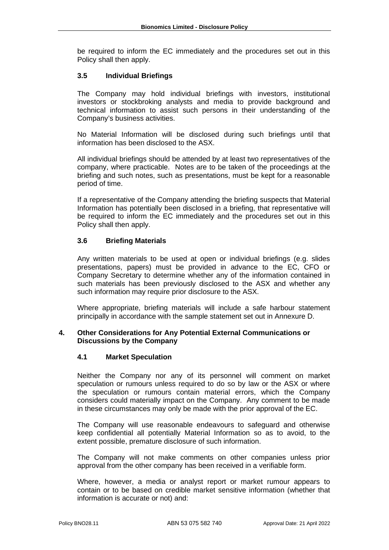be required to inform the EC immediately and the procedures set out in this Policy shall then apply.

## **3.5 Individual Briefings**

The Company may hold individual briefings with investors, institutional investors or stockbroking analysts and media to provide background and technical information to assist such persons in their understanding of the Company's business activities.

No Material Information will be disclosed during such briefings until that information has been disclosed to the ASX.

All individual briefings should be attended by at least two representatives of the company, where practicable. Notes are to be taken of the proceedings at the briefing and such notes, such as presentations, must be kept for a reasonable period of time.

If a representative of the Company attending the briefing suspects that Material Information has potentially been disclosed in a briefing, that representative will be required to inform the EC immediately and the procedures set out in this Policy shall then apply.

### **3.6 Briefing Materials**

Any written materials to be used at open or individual briefings (e.g. slides presentations, papers) must be provided in advance to the EC, CFO or Company Secretary to determine whether any of the information contained in such materials has been previously disclosed to the ASX and whether any such information may require prior disclosure to the ASX.

Where appropriate, briefing materials will include a safe harbour statement principally in accordance with the sample statement set out in Annexure D.

#### **4. Other Considerations for Any Potential External Communications or Discussions by the Company**

#### **4.1 Market Speculation**

Neither the Company nor any of its personnel will comment on market speculation or rumours unless required to do so by law or the ASX or where the speculation or rumours contain material errors, which the Company considers could materially impact on the Company. Any comment to be made in these circumstances may only be made with the prior approval of the EC.

The Company will use reasonable endeavours to safeguard and otherwise keep confidential all potentially Material Information so as to avoid, to the extent possible, premature disclosure of such information.

The Company will not make comments on other companies unless prior approval from the other company has been received in a verifiable form.

Where, however, a media or analyst report or market rumour appears to contain or to be based on credible market sensitive information (whether that information is accurate or not) and: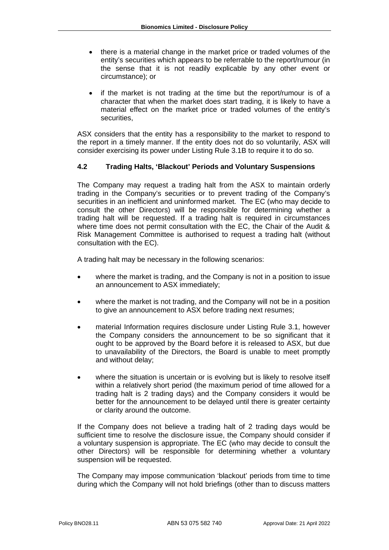- there is a material change in the market price or traded volumes of the entity's securities which appears to be referrable to the report/rumour (in the sense that it is not readily explicable by any other event or circumstance); or
- if the market is not trading at the time but the report/rumour is of a character that when the market does start trading, it is likely to have a material effect on the market price or traded volumes of the entity's securities,

ASX considers that the entity has a responsibility to the market to respond to the report in a timely manner. If the entity does not do so voluntarily, ASX will consider exercising its power under Listing Rule 3.1B to require it to do so.

# **4.2 Trading Halts, 'Blackout' Periods and Voluntary Suspensions**

The Company may request a trading halt from the ASX to maintain orderly trading in the Company's securities or to prevent trading of the Company's securities in an inefficient and uninformed market. The EC (who may decide to consult the other Directors) will be responsible for determining whether a trading halt will be requested. If a trading halt is required in circumstances where time does not permit consultation with the EC, the Chair of the Audit & Risk Management Committee is authorised to request a trading halt (without consultation with the EC).

A trading halt may be necessary in the following scenarios:

- where the market is trading, and the Company is not in a position to issue an announcement to ASX immediately;
- where the market is not trading, and the Company will not be in a position to give an announcement to ASX before trading next resumes;
- material Information requires disclosure under Listing Rule 3.1, however the Company considers the announcement to be so significant that it ought to be approved by the Board before it is released to ASX, but due to unavailability of the Directors, the Board is unable to meet promptly and without delay;
- where the situation is uncertain or is evolving but is likely to resolve itself within a relatively short period (the maximum period of time allowed for a trading halt is 2 trading days) and the Company considers it would be better for the announcement to be delayed until there is greater certainty or clarity around the outcome.

If the Company does not believe a trading halt of 2 trading days would be sufficient time to resolve the disclosure issue, the Company should consider if a voluntary suspension is appropriate. The EC (who may decide to consult the other Directors) will be responsible for determining whether a voluntary suspension will be requested.

The Company may impose communication 'blackout' periods from time to time during which the Company will not hold briefings (other than to discuss matters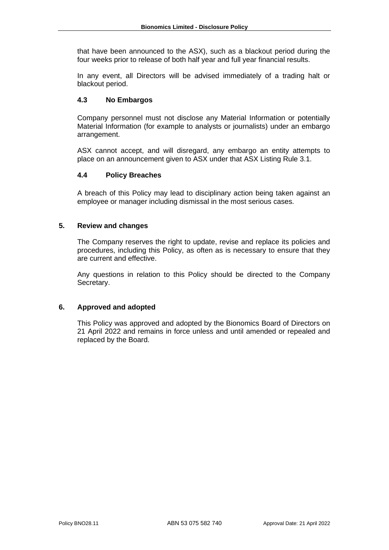that have been announced to the ASX), such as a blackout period during the four weeks prior to release of both half year and full year financial results.

In any event, all Directors will be advised immediately of a trading halt or blackout period.

## **4.3 No Embargos**

Company personnel must not disclose any Material Information or potentially Material Information (for example to analysts or journalists) under an embargo arrangement.

ASX cannot accept, and will disregard, any embargo an entity attempts to place on an announcement given to ASX under that ASX Listing Rule 3.1.

### **4.4 Policy Breaches**

A breach of this Policy may lead to disciplinary action being taken against an employee or manager including dismissal in the most serious cases.

#### **5. Review and changes**

The Company reserves the right to update, revise and replace its policies and procedures, including this Policy, as often as is necessary to ensure that they are current and effective.

Any questions in relation to this Policy should be directed to the Company Secretary.

#### **6. Approved and adopted**

This Policy was approved and adopted by the Bionomics Board of Directors on 21 April 2022 and remains in force unless and until amended or repealed and replaced by the Board.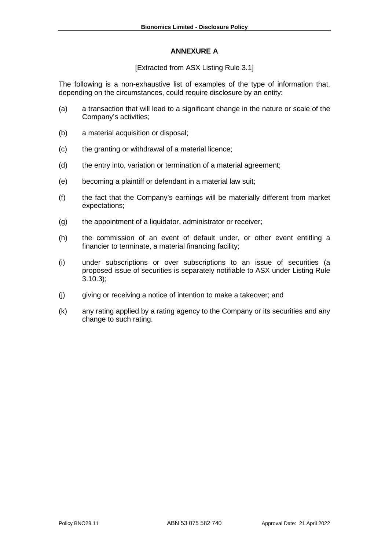### **ANNEXURE A**

### [Extracted from ASX Listing Rule 3.1]

The following is a non-exhaustive list of examples of the type of information that, depending on the circumstances, could require disclosure by an entity:

- (a) a transaction that will lead to a significant change in the nature or scale of the Company's activities;
- (b) a material acquisition or disposal;
- (c) the granting or withdrawal of a material licence;
- (d) the entry into, variation or termination of a material agreement;
- (e) becoming a plaintiff or defendant in a material law suit;
- (f) the fact that the Company's earnings will be materially different from market expectations;
- (g) the appointment of a liquidator, administrator or receiver;
- (h) the commission of an event of default under, or other event entitling a financier to terminate, a material financing facility;
- (i) under subscriptions or over subscriptions to an issue of securities (a proposed issue of securities is separately notifiable to ASX under Listing Rule 3.10.3);
- (j) giving or receiving a notice of intention to make a takeover; and
- (k) any rating applied by a rating agency to the Company or its securities and any change to such rating.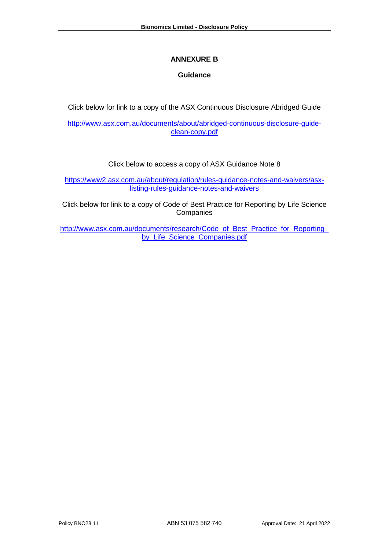# **ANNEXURE B**

# **Guidance**

Click below for link to a copy of the ASX Continuous Disclosure Abridged Guide

[http://www.asx.com.au/documents/about/abridged-continuous-disclosure-guide](http://www.asx.com.au/documents/about/abridged-continuous-disclosure-guide-clean-copy.pdf)[clean-copy.pdf](http://www.asx.com.au/documents/about/abridged-continuous-disclosure-guide-clean-copy.pdf)

# Click below to access a copy of ASX Guidance Note 8

[https://www2.asx.com.au/about/regulation/rules-guidance-notes-and-waivers/asx](https://www2.asx.com.au/about/regulation/rules-guidance-notes-and-waivers/asx-listing-rules-guidance-notes-and-waivers)[listing-rules-guidance-notes-and-waivers](https://www2.asx.com.au/about/regulation/rules-guidance-notes-and-waivers/asx-listing-rules-guidance-notes-and-waivers) 

Click below for link to a copy of Code of Best Practice for Reporting by Life Science **Companies** 

http://www.asx.com.au/documents/research/Code\_of\_Best\_Practice\_for\_Reporting [by\\_Life\\_Science\\_Companies.pdf](http://www.asx.com.au/documents/research/Code_of_Best_Practice_for_Reporting_by_Life_Science_Companies.pdf)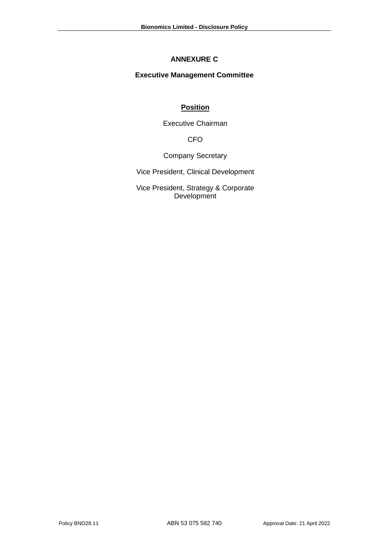# **ANNEXURE C**

# **Executive Management Committee**

# **Position**

Executive Chairman

CFO

Company Secretary

Vice President, Clinical Development

Vice President, Strategy & Corporate Development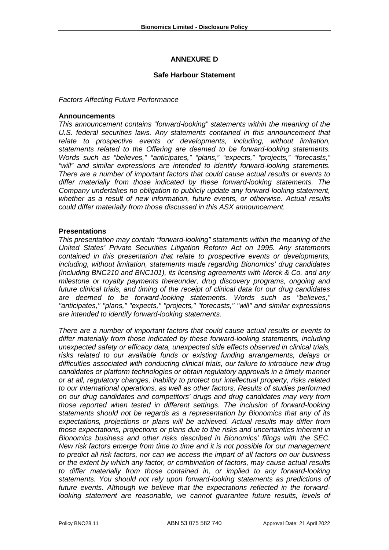# **ANNEXURE D**

#### **Safe Harbour Statement**

*Factors Affecting Future Performance* 

#### **Announcements**

*This announcement contains "forward-looking" statements within the meaning of the U.S. federal securities laws. Any statements contained in this announcement that relate to prospective events or developments, including, without limitation, statements related to the Offering are deemed to be forward-looking statements. Words such as "believes," "anticipates," "plans," "expects," "projects," "forecasts," "will" and similar expressions are intended to identify forward-looking statements. There are a number of important factors that could cause actual results or events to differ materially from those indicated by these forward-looking statements. The Company undertakes no obligation to publicly update any forward-looking statement, whether as a result of new information, future events, or otherwise. Actual results could differ materially from those discussed in this ASX announcement.* 

#### **Presentations**

*This presentation may contain "forward-looking" statements within the meaning of the United States' Private Securities Litigation Reform Act on 1995. Any statements contained in this presentation that relate to prospective events or developments, including, without limitation, statements made regarding Bionomics' drug candidates (including BNC210 and BNC101), its licensing agreements with Merck & Co. and any milestone or royalty payments thereunder, drug discovery programs, ongoing and future clinical trials, and timing of the receipt of clinical data for our drug candidates are deemed to be forward-looking statements. Words such as "believes," "anticipates," "plans," "expects," "projects," "forecasts," "will" and similar expressions are intended to identify forward-looking statements.* 

*There are a number of important factors that could cause actual results or events to differ materially from those indicated by these forward-looking statements, including unexpected safety or efficacy data, unexpected side effects observed in clinical trials, risks related to our available funds or existing funding arrangements, delays or difficulties associated with conducting clinical trials, our failure to introduce new drug candidates or platform technologies or obtain regulatory approvals in a timely manner or at all, regulatory changes, inability to protect our intellectual property, risks related to our international operations, as well as other factors, Results of studies performed on our drug candidates and competitors' drugs and drug candidates may very from those reported when tested in different settings. The inclusion of forward-looking statements should not be regards as a representation by Bionomics that any of its expectations, projections or plans will be achieved. Actual results may differ from those expectations, projections or plans due to the risks and uncertainties inherent in Bionomics business and other risks described in Bionomics' filings with the SEC. New risk factors emerge from time to time and it is not possible for our management to predict all risk factors, nor can we access the impart of all factors on our business or the extent by which any factor, or combination of factors, may cause actual results to differ materially from those contained in, or implied to any forward-looking statements. You should not rely upon forward-looking statements as predictions of future events. Although we believe that the expectations reflected in the forwardlooking statement are reasonable, we cannot guarantee future results, levels of*